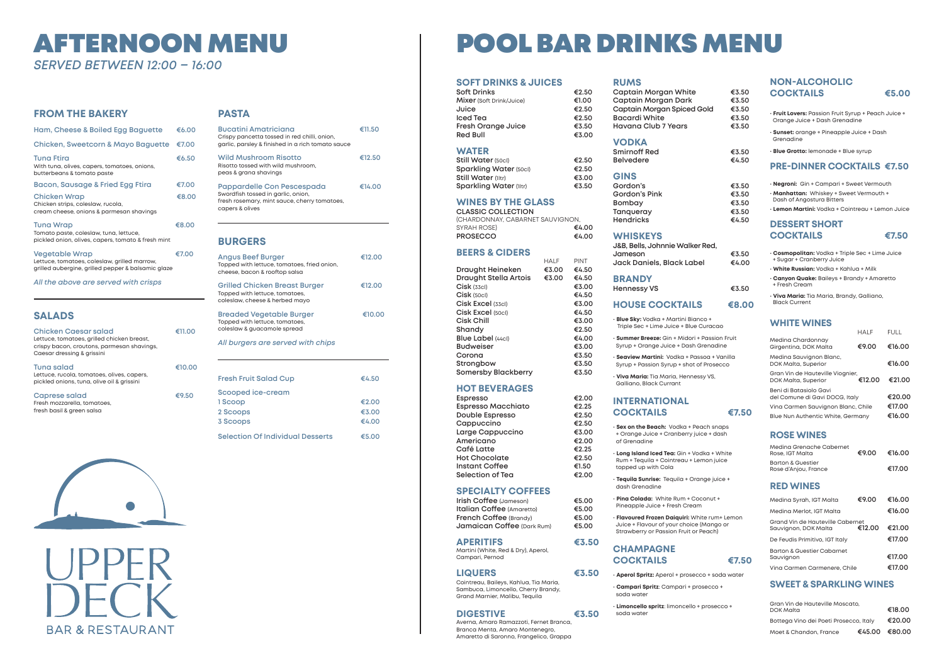# AFTERNOON MENU *SERVED BETWEEN 12:00 – 16:00*

# **FROM THE BAKERY**

| Ham, Cheese & Boiled Egg Baguette                                                                                           | €6.00 |
|-----------------------------------------------------------------------------------------------------------------------------|-------|
| <b>Chicken, Sweetcorn &amp; Mayo Baguette</b>                                                                               | €7.00 |
| <b>Tuna Ftira</b><br>With tuna, olives, capers, tomatoes, onions,<br>butterbeans & tomato paste                             | €6.50 |
| Bacon, Sausage & Fried Egg Ftira                                                                                            | €7.00 |
| <b>Chicken Wrap</b><br>Chicken strips, coleslaw, rucola,<br>cream cheese, onions & parmesan shavings                        | €8.00 |
| <b>Tuna Wrap</b><br>Tomato paste, coleslaw, tuna, lettuce,<br>pickled onion, olives, capers, tomato & fresh mint            | €8.00 |
| <b>Vegetable Wrap</b><br>Lettuce, tomatoes, coleslaw, grilled marrow,<br>grilled aubergine, grilled pepper & balsamic glaze | €7.00 |

*All the above are served with crisps*

# **SALADS**

| <b>Chicken Caesar salad</b><br>Lettuce, tomatoes, grilled chicken breast,<br>crispy bacon, croutons, parmesan shavings,<br>Caesar dressing & grissini | רו∌ (דו |
|-------------------------------------------------------------------------------------------------------------------------------------------------------|---------|
| Tuna salad<br>Lettuce, rucola, tomatoes, olives, capers,<br>pickled onions, tuna, olive oil & grissini                                                | €10.00  |
| Caprese salad<br>Fresh mozzarella, tomatoes,<br>fresh basil & green salsa                                                                             | €9.50   |



### **PASTA**

| Bucatini Amatriciana<br>Crispy pancetta tossed in red chilli, onion,<br>garlic, parsley & finished in a rich tomato sauce           | €11.50 |
|-------------------------------------------------------------------------------------------------------------------------------------|--------|
| <b>Wild Mushroom Risotto</b><br>Risotto tossed with wild mushroom.<br>peas & grana shavings                                         | €12.50 |
| Pappardelle Con Pescespada<br>Swordfish tossed in garlic, onion,<br>fresh rosemary, mint sauce, cherry tomatoes,<br>capers & olives | €14.00 |

**Espresso €2.00 Espresso Macchiato €2.25 Double Espresso €2.50 Cappuccino €2.50 Large Cappuccino €3.00 Americano €2.00 Café Latte €2.25 Hot Chocolate €2.50 Instant Coffee €1.50**  $£2.00$ 

# **BURGERS**

| Angus Beef Burger<br>Topped with lettuce, tomatoes, fried onion,<br>cheese, bacon & rooftop salsa        | €12.00 |
|----------------------------------------------------------------------------------------------------------|--------|
| <b>Grilled Chicken Breast Burger</b><br>Topped with lettuce, tomatoes,<br>coleslaw, cheese & herbed mayo | €12.00 |
| <b>Breaded Vegetable Burger</b><br>Topped with lettuce, tomatoes,<br>coleslaw & guacamole spread         | €10.00 |
| All burgers are served with chips                                                                        |        |
|                                                                                                          |        |
| <b>Fresh Fruit Salad Cup</b>                                                                             | €4.50  |
| Scooped ice-cream                                                                                        |        |
| 1 Scoop                                                                                                  | €2.00  |
| 2 Scoops                                                                                                 | €3.00  |

**3 Scoops €4.00 Selection Of Individual Desserts €5.00**

# POOL BAR DRINKS MENU

# **SOFT DRINKS & JUICES**

| <b>Soft Drinks</b>        | €2.50 |
|---------------------------|-------|
| Mixer (Soft Drink/Juice)  | €1.00 |
| Juice                     | €2.50 |
| <b>Iced Tea</b>           | €2.50 |
| <b>Fresh Orange Juice</b> | €3.50 |
| <b>Red Bull</b>           | €3.00 |
|                           |       |

# **WATER**

**Still Water** (50cl) **€2.50**

| €2.50 |
|-------|
| €2.50 |
| €3.00 |
| €3.50 |
|       |

# **WINES BY THE GLASS**

**CLASSIC COLLECTION**  (CHARDONNAY, CABARNET SAUVIGNON, SYRAH ROSE) **€4.00 PROSECCO €4.00**

# **BEERS & CIDERS**

|                              | <b>HALF</b> | <b>PINT</b> |
|------------------------------|-------------|-------------|
| Draught Heineken             | €3.00       | €4.50       |
| <b>Draught Stella Artois</b> | €3.00       | €4.50       |
| $Cisk$ (33cl)                |             | €3.00       |
| $Cisk$ (50cl)                |             | €4.50       |
| Cisk Excel (33cl)            |             | €3.00       |
| Cisk Excel (50cl)            |             | €4.50       |
| Cisk Chill                   |             | €3.00       |
| Shandy                       |             | €2.50       |
| <b>Blue Label (44cl)</b>     |             | €4.00       |
| <b>Budweiser</b>             |             | €3.00       |
| Corona                       |             | €3.50       |
| Strongbow                    |             | €3.50       |
| <b>Somersby Blackberry</b>   |             | €3.50       |

# **HOT BEVERAGES**

| ESPresso                  |
|---------------------------|
| <b>Espresso Macchiato</b> |
| Double Espresso           |
| Cappuccino                |
| Large Cappuccino          |
| Americano                 |
| Café Latte                |
| <b>Hot Chocolate</b>      |
| Instant Coffee            |
| Selection of Tea          |
|                           |

## **SPECIALTY COFFEES**

| Irish Coffee (Jameson)           |  |
|----------------------------------|--|
| <b>Italian Coffee (Amaretto)</b> |  |
| French Coffee (Brandy)           |  |
| Jamaican Coffee (Dark Rum)       |  |

**Irish Coffee** (Jameson) **€5.00 Italian Coffee** (Amaretto) **€5.00 French Coffee** (Brandy) **€5.00 Jamaican Coffee** (Dark Rum) **€5.00**

**APERITIFS €3.50** Martini (White, Red & Dry), Aperol, Campari, Pernod

### **LIQUERS €3.50**

Cointreau, Baileys, Kahlua, Tia Maria, Sambuca, Limoncello, Cherry Brandy, Grand Marnier, Malibu, Tequila

## **DIGESTIVE €3.50**

Averna, Amaro Ramazzoti, Fernet Branca, Branca Menta, Amaro Montenegro, Amaretto di Saronno, Frangelico, Grappa

### **RUMS**

**Captain Morgan White Captain Morgan Dark Captain Morgan Spiced Gold Bacardi White Havana Club 7 Years** 

## **VODKA**

**Smirnoff Red** Belvedere

### **GINS**

Gordon's Gordon's Pink Bombay **Tanqueray** Hendricks

#### **WHISKEYS**

**J&B, Bells, Johnnie Walker Red, Jameson €3.50 Jack Daniels, Black Label €4.00**

#### **BRANDY Hennessy VS €3.50**

## **HOUSE COCKTAILS €8.00**

• **Blue Sky:** Vodka + Martini Bianco + Triple Sec + Lime Juice + Blue Curacao

• **Summer Breeze:** Gin + Midori + Passion Fruit Syrup + Orange Juice + Dash Grenadine

• **Seaview Martini:** Vodka + Passoa + Vanilla Syrup + Passion Syrup + shot of Prosecco

• **Viva Maria:** Tia Maria, Hennessy VS, Galliano, Black Currant

# **INTERNATIONAL COCKTAILS €7.50**

• **Sex on the Beach:** Vodka + Peach snaps + Orange Juice + Cranberry juice + dash of Grenadine

• **Long Island Iced Tea:** Gin + Vodka + White Rum + Tequila + Cointreau + Lemon juice topped up with Cola

• **Tequila Sunrise:** Tequila + Orange juice + dash Grenadine

• **Pina Colada:** White Rum + Coconut + Pineapple Juice + Fresh Cream

• **Flavoured Frozen Daiquiri:** White rum+ Lemon Juice + Flavour of your choice (Mango or Strawberry or Passion Fruit or Peach)

# **CHAMPAGNE COCKTAILS €7.50**

- **Aperol Spritz:** Aperol + prosecco + soda water
- **Campari Spritz**: Campari + prosecco + soda water
- **Limoncello spritz**: limoncello + prosecco + soda water



| €3.50<br>€3.50<br>€3.50<br>€3.50<br>€3.50 |  |
|-------------------------------------------|--|
| €3.50<br>€4.50                            |  |
| €3.50<br>€3.50<br>€3.50<br>€3.50<br>€4.50 |  |

- 
- 
- 
- 
- 
- 
- 

# **NON-ALCOHOLIC COCKTAILS €5.00**

- **Fruit Lovers:** Passion Fruit Syrup + Peach Juice + Orange Juice + Dash Grenadine
- **Sunset:** orange + Pineapple Juice + Dash Grenadine
- **Blue Grotto:** lemonade + Blue syrup

# **PRE-DINNER COCKTAILS €7.50**

- **Negroni:** Gin + Campari + Sweet Vermouth
- **Manhattan:** Whiskey + Sweet Vermouth + Dash of Angostura Bitters
- **Lemon Martini:** Vodka + Cointreau + Lemon Juice

# **DESSERT SHORT COCKTAILS €7.50**



- **Cosmopolitan:** Vodka + Triple Sec + Lime Juice + Sugar + Cranberry Juice • **White Russian:** Vodka + Kahlua + Milk
- **Canyon Quake:** Baileys + Brandy + Amaretto + Fresh Cream
- **Viva Maria:** Tia Maria, Brandy, Galliano, Black Current

# **WHITE WINES**

HALF FULL

|                                                          | 11 A L I | 1 U L L |
|----------------------------------------------------------|----------|---------|
| Medina Chardonnay<br>Girgentina, DOK Malta               | €9.00    | €16.00  |
| Medina Sauvignon Blanc,<br>DOK Malta, Superior           |          | €16.00  |
| Gran Vin de Hauteville Viognier,<br>DOK Malta, Superior  | €12.00   | €21.00  |
| Beni di Batasiolo Gavi<br>del Comune di Gavi DOCG, Italy |          | €20.00  |
| Vina Carmen Sauvignon Blanc, Chile                       |          | €17.00  |
| <b>Blue Nun Authentic White, Germany</b>                 |          | €16.00  |
|                                                          |          |         |

# **ROSE WINES**

| Medina Grenache Cabernet<br>Rose, IGT Malta              | €9.00  | €16.00 |
|----------------------------------------------------------|--------|--------|
| <b>Barton &amp; Guestier</b><br>Rose d'Anjou, France     |        | €17.00 |
| <b>RED WINES</b>                                         |        |        |
| Medina Syrah, IGT Malta                                  | €9.00  | €16.00 |
| Medina Merlot, IGT Malta                                 |        | €16.00 |
| Grand Vin de Hauteville Cabernet<br>Sauvignon, DOK Malta | €12.00 | €21.00 |
| De Feudis Primitivo, IGT Italy                           |        | €17.00 |
| <b>Barton &amp; Guestier Cabarnet</b><br>Sauvignon       |        | €17.00 |
| Vina Carmen Carmenere, Chile                             |        | €17.00 |

# **SWEET & SPARKLING WINES**

| Gran Vin de Hauteville Moscato,<br><b>DOK Malta</b> |               | €18.00 |
|-----------------------------------------------------|---------------|--------|
| Bottega Vino dei Poeti Prosecco, Italy              |               | €20.00 |
| Moet & Chandon, France                              | €45.00 €80.00 |        |